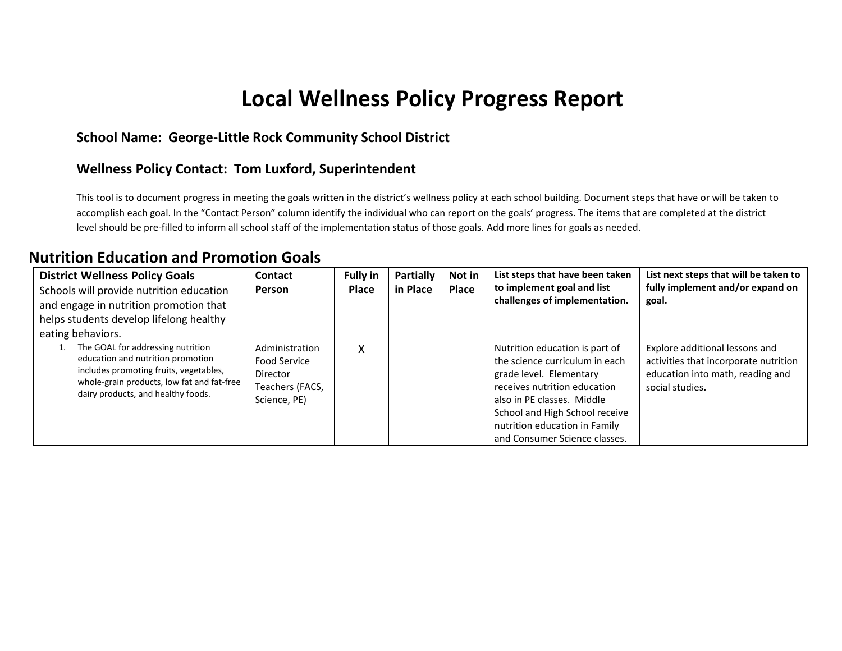# **Local Wellness Policy Progress Report**

#### **School Name: George-Little Rock Community School District**

#### **Wellness Policy Contact: Tom Luxford, Superintendent**

This tool is to document progress in meeting the goals written in the district's wellness policy at each school building. Document steps that have or will be taken to accomplish each goal. In the "Contact Person" column identify the individual who can report on the goals' progress. The items that are completed at the district level should be pre-filled to inform all school staff of the implementation status of those goals. Add more lines for goals as needed.

#### **Nutrition Education and Promotion Goals**

| <b>District Wellness Policy Goals</b><br>Schools will provide nutrition education<br>and engage in nutrition promotion that<br>helps students develop lifelong healthy<br>eating behaviors.          | Contact<br><b>Person</b>                                                      | <b>Fully in</b><br>Place | <b>Partially</b><br>in Place | Not in<br>Place | List steps that have been taken<br>to implement goal and list<br>challenges of implementation.                                                                                                                                                                | List next steps that will be taken to<br>fully implement and/or expand on<br>goal.                                             |
|------------------------------------------------------------------------------------------------------------------------------------------------------------------------------------------------------|-------------------------------------------------------------------------------|--------------------------|------------------------------|-----------------|---------------------------------------------------------------------------------------------------------------------------------------------------------------------------------------------------------------------------------------------------------------|--------------------------------------------------------------------------------------------------------------------------------|
| The GOAL for addressing nutrition<br>education and nutrition promotion<br>includes promoting fruits, vegetables,<br>whole-grain products, low fat and fat-free<br>dairy products, and healthy foods. | Administration<br>Food Service<br>Director<br>Teachers (FACS,<br>Science, PE) | Χ                        |                              |                 | Nutrition education is part of<br>the science curriculum in each<br>grade level. Elementary<br>receives nutrition education<br>also in PE classes. Middle<br>School and High School receive<br>nutrition education in Family<br>and Consumer Science classes. | Explore additional lessons and<br>activities that incorporate nutrition<br>education into math, reading and<br>social studies. |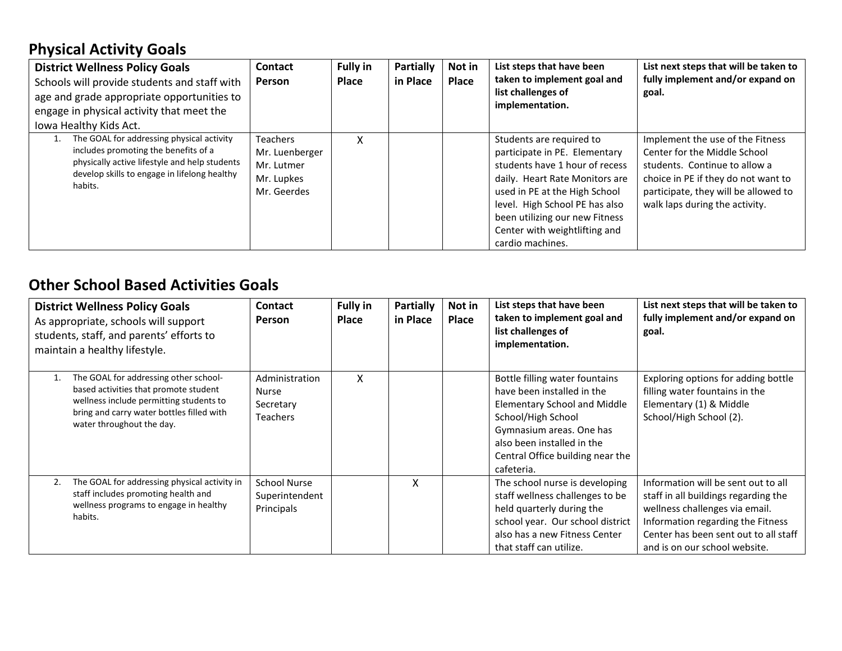### **Physical Activity Goals**

| <b>District Wellness Policy Goals</b><br>Schools will provide students and staff with<br>age and grade appropriate opportunities to<br>engage in physical activity that meet the<br>lowa Healthy Kids Act. | Contact<br>Person                                                            | <b>Fully in</b><br>Place | Partially<br>in Place | Not in<br><b>Place</b> | List steps that have been<br>taken to implement goal and<br>list challenges of<br>implementation.                                                                                                                                                                                       | List next steps that will be taken to<br>fully implement and/or expand on<br>goal.                                                                                                                                 |
|------------------------------------------------------------------------------------------------------------------------------------------------------------------------------------------------------------|------------------------------------------------------------------------------|--------------------------|-----------------------|------------------------|-----------------------------------------------------------------------------------------------------------------------------------------------------------------------------------------------------------------------------------------------------------------------------------------|--------------------------------------------------------------------------------------------------------------------------------------------------------------------------------------------------------------------|
| The GOAL for addressing physical activity<br>includes promoting the benefits of a<br>physically active lifestyle and help students<br>develop skills to engage in lifelong healthy<br>habits.              | <b>Teachers</b><br>Mr. Luenberger<br>Mr. Lutmer<br>Mr. Lupkes<br>Mr. Geerdes | x                        |                       |                        | Students are required to<br>participate in PE. Elementary<br>students have 1 hour of recess<br>daily. Heart Rate Monitors are<br>used in PE at the High School<br>level. High School PE has also<br>been utilizing our new Fitness<br>Center with weightlifting and<br>cardio machines. | Implement the use of the Fitness<br>Center for the Middle School<br>students. Continue to allow a<br>choice in PE if they do not want to<br>participate, they will be allowed to<br>walk laps during the activity. |

#### **Other School Based Activities Goals**

|    | <b>District Wellness Policy Goals</b><br>As appropriate, schools will support<br>students, staff, and parents' efforts to<br>maintain a healthy lifestyle.                                          | <b>Contact</b><br><b>Person</b>                                | <b>Fully in</b><br><b>Place</b> | Partially<br>in Place | Not in<br><b>Place</b> | List steps that have been<br>taken to implement goal and<br>list challenges of<br>implementation.                                                                                                                                     | List next steps that will be taken to<br>fully implement and/or expand on<br>goal.                                                                                                                                           |
|----|-----------------------------------------------------------------------------------------------------------------------------------------------------------------------------------------------------|----------------------------------------------------------------|---------------------------------|-----------------------|------------------------|---------------------------------------------------------------------------------------------------------------------------------------------------------------------------------------------------------------------------------------|------------------------------------------------------------------------------------------------------------------------------------------------------------------------------------------------------------------------------|
|    | The GOAL for addressing other school-<br>based activities that promote student<br>wellness include permitting students to<br>bring and carry water bottles filled with<br>water throughout the day. | Administration<br><b>Nurse</b><br>Secretary<br><b>Teachers</b> | X                               |                       |                        | Bottle filling water fountains<br>have been installed in the<br><b>Elementary School and Middle</b><br>School/High School<br>Gymnasium areas. One has<br>also been installed in the<br>Central Office building near the<br>cafeteria. | Exploring options for adding bottle<br>filling water fountains in the<br>Elementary (1) & Middle<br>School/High School (2).                                                                                                  |
| 2. | The GOAL for addressing physical activity in<br>staff includes promoting health and<br>wellness programs to engage in healthy<br>habits.                                                            | <b>School Nurse</b><br>Superintendent<br>Principals            |                                 | X                     |                        | The school nurse is developing<br>staff wellness challenges to be<br>held quarterly during the<br>school year. Our school district<br>also has a new Fitness Center<br>that staff can utilize.                                        | Information will be sent out to all<br>staff in all buildings regarding the<br>wellness challenges via email.<br>Information regarding the Fitness<br>Center has been sent out to all staff<br>and is on our school website. |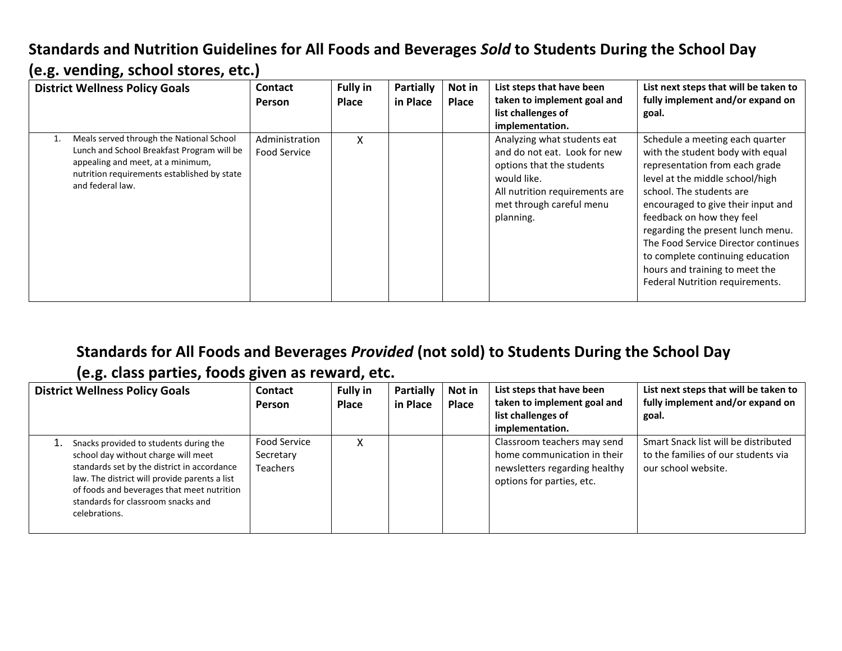### **Standards and Nutrition Guidelines for All Foods and Beverages** *Sold* **to Students During the School Day (e.g. vending, school stores, etc.)**

| <b>District Wellness Policy Goals</b>                                                                                                                                                          | <b>Contact</b><br><b>Person</b> | <b>Fully in</b><br>Place | <b>Partially</b><br>in Place | Not in<br>Place | List steps that have been<br>taken to implement goal and<br>list challenges of<br>implementation.                                                                                  | List next steps that will be taken to<br>fully implement and/or expand on<br>goal.                                                                                                                                                                                                                                                                                                                                           |
|------------------------------------------------------------------------------------------------------------------------------------------------------------------------------------------------|---------------------------------|--------------------------|------------------------------|-----------------|------------------------------------------------------------------------------------------------------------------------------------------------------------------------------------|------------------------------------------------------------------------------------------------------------------------------------------------------------------------------------------------------------------------------------------------------------------------------------------------------------------------------------------------------------------------------------------------------------------------------|
| Meals served through the National School<br>Lunch and School Breakfast Program will be<br>appealing and meet, at a minimum,<br>nutrition requirements established by state<br>and federal law. | Administration<br>Food Service  | x                        |                              |                 | Analyzing what students eat<br>and do not eat. Look for new<br>options that the students<br>would like.<br>All nutrition requirements are<br>met through careful menu<br>planning. | Schedule a meeting each quarter<br>with the student body with equal<br>representation from each grade<br>level at the middle school/high<br>school. The students are<br>encouraged to give their input and<br>feedback on how they feel<br>regarding the present lunch menu.<br>The Food Service Director continues<br>to complete continuing education<br>hours and training to meet the<br>Federal Nutrition requirements. |

### **Standards for All Foods and Beverages** *Provided* **(not sold) to Students During the School Day (e.g. class parties, foods given as reward, etc.**

| <b>District Wellness Policy Goals</b>                                                                                                                                                                                                                                              | <b>Contact</b><br><b>Person</b>                     | <b>Fully in</b><br><b>Place</b> | <b>Partially</b><br>in Place | Not in<br>Place | List steps that have been<br>taken to implement goal and<br>list challenges of<br>implementation.                        | List next steps that will be taken to<br>fully implement and/or expand on<br>goal.                 |
|------------------------------------------------------------------------------------------------------------------------------------------------------------------------------------------------------------------------------------------------------------------------------------|-----------------------------------------------------|---------------------------------|------------------------------|-----------------|--------------------------------------------------------------------------------------------------------------------------|----------------------------------------------------------------------------------------------------|
| Snacks provided to students during the<br>school day without charge will meet<br>standards set by the district in accordance<br>law. The district will provide parents a list<br>of foods and beverages that meet nutrition<br>standards for classroom snacks and<br>celebrations. | <b>Food Service</b><br>Secretary<br><b>Teachers</b> |                                 |                              |                 | Classroom teachers may send<br>home communication in their<br>newsletters regarding healthy<br>options for parties, etc. | Smart Snack list will be distributed<br>to the families of our students via<br>our school website. |